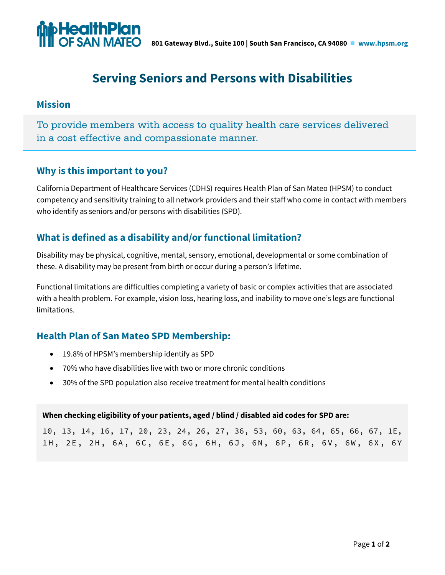

# **Serving Seniors and Persons with Disabilities**

### **Mission**

To provide members with access to quality health care services delivered in a cost effective and compassionate manner.

# **Why is this important to you?**

California Department of Healthcare Services (CDHS) requires Health Plan of San Mateo (HPSM) to conduct competency and sensitivity training to all network providers and their staff who come in contact with members who identify as seniors and/or persons with disabilities (SPD).

# **What is defined as a disability and/or functional limitation?**

Disability may be physical, cognitive, mental, sensory, emotional, developmental or some combination of these. A disability may be present from birth or occur during a person's lifetime.

Functional limitations are difficulties completing a variety of basic or complex activities that are associated with a health problem. For example, vision loss, hearing loss, and inability to move one's legs are functional limitations.

# **Health Plan of San Mateo SPD Membership:**

- 19.8% of HPSM's membership identify as SPD
- 70% who have disabilities live with two or more chronic conditions
- 30% of the SPD population also receive treatment for mental health conditions

#### **When checking eligibility of your patients, aged / blind / disabled aid codes for SPD are:**

10, 13, 14, 16, 17, 20, 23, 24, 26, 27, 36, 53, 60, 63, 64, 65, 66, 67, 1E, 1H, 2E, 2H, 6A, 6C, 6E, 6G, 6H, 6J, 6N, 6P, 6R, 6V, 6W, 6X, 6Y